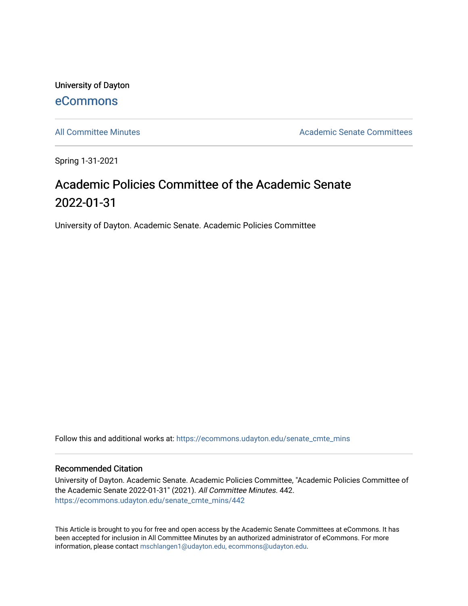University of Dayton [eCommons](https://ecommons.udayton.edu/)

[All Committee Minutes](https://ecommons.udayton.edu/senate_cmte_mins) **Academic Senate Committees** Academic Senate Committees

Spring 1-31-2021

## Academic Policies Committee of the Academic Senate 2022-01-31

University of Dayton. Academic Senate. Academic Policies Committee

Follow this and additional works at: [https://ecommons.udayton.edu/senate\\_cmte\\_mins](https://ecommons.udayton.edu/senate_cmte_mins?utm_source=ecommons.udayton.edu%2Fsenate_cmte_mins%2F442&utm_medium=PDF&utm_campaign=PDFCoverPages)

## Recommended Citation

University of Dayton. Academic Senate. Academic Policies Committee, "Academic Policies Committee of the Academic Senate 2022-01-31" (2021). All Committee Minutes. 442. [https://ecommons.udayton.edu/senate\\_cmte\\_mins/442](https://ecommons.udayton.edu/senate_cmte_mins/442?utm_source=ecommons.udayton.edu%2Fsenate_cmte_mins%2F442&utm_medium=PDF&utm_campaign=PDFCoverPages)

This Article is brought to you for free and open access by the Academic Senate Committees at eCommons. It has been accepted for inclusion in All Committee Minutes by an authorized administrator of eCommons. For more information, please contact [mschlangen1@udayton.edu, ecommons@udayton.edu](mailto:mschlangen1@udayton.edu,%20ecommons@udayton.edu).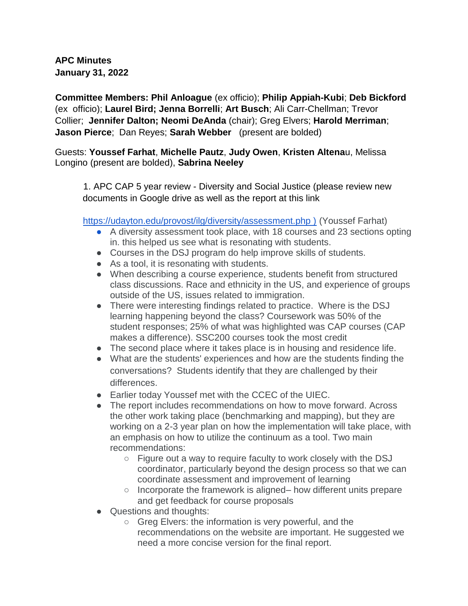**APC Minutes January 31, 2022** 

**Committee Members: Phil Anloague** (ex officio); **Philip Appiah-Kubi**; **Deb Bickford** (ex officio); **Laurel Bird; Jenna Borrelli**; **Art Busch**; Ali Carr-Chellman; Trevor Collier; **Jennifer Dalton; Neomi DeAnda** (chair); Greg Elvers; **Harold Merriman**; **Jason Pierce**; Dan Reyes; **Sarah Webber** (present are bolded)

## Guests: **Youssef Farhat**, **Michelle Pautz**, **Judy Owen**, **Kristen Altena**u, Melissa Longino (present are bolded), **Sabrina Neeley**

1. APC CAP 5 year review - Diversity and Social Justice (please review new documents in Google drive as well as the report at this link

https://udayton.edu/provost/ilg/diversity/assessment.php ) (Youssef Farhat)

- A diversity assessment took place, with 18 courses and 23 sections opting in. this helped us see what is resonating with students.
- Courses in the DSJ program do help improve skills of students.
- As a tool, it is resonating with students.
- When describing a course experience, students benefit from structured class discussions. Race and ethnicity in the US, and experience of groups outside of the US, issues related to immigration.
- There were interesting findings related to practice. Where is the DSJ learning happening beyond the class? Coursework was 50% of the student responses; 25% of what was highlighted was CAP courses (CAP makes a difference). SSC200 courses took the most credit
- The second place where it takes place is in housing and residence life.
- What are the students' experiences and how are the students finding the conversations? Students identify that they are challenged by their differences.
- Earlier today Youssef met with the CCEC of the UIEC.
- The report includes recommendations on how to move forward. Across the other work taking place (benchmarking and mapping), but they are working on a 2-3 year plan on how the implementation will take place, with an emphasis on how to utilize the continuum as a tool. Two main recommendations:
	- Figure out a way to require faculty to work closely with the DSJ coordinator, particularly beyond the design process so that we can coordinate assessment and improvement of learning
	- Incorporate the framework is aligned– how different units prepare and get feedback for course proposals
- Questions and thoughts:
	- Greg Elvers: the information is very powerful, and the recommendations on the website are important. He suggested we need a more concise version for the final report.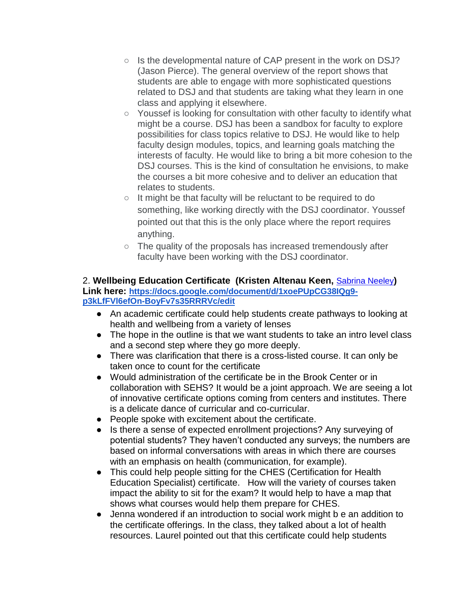- Is the developmental nature of CAP present in the work on DSJ? (Jason Pierce). The general overview of the report shows that students are able to engage with more sophisticated questions related to DSJ and that students are taking what they learn in one class and applying it elsewhere.
- Youssef is looking for consultation with other faculty to identify what might be a course. DSJ has been a sandbox for faculty to explore possibilities for class topics relative to DSJ. He would like to help faculty design modules, topics, and learning goals matching the interests of faculty. He would like to bring a bit more cohesion to the DSJ courses. This is the kind of consultation he envisions, to make the courses a bit more cohesive and to deliver an education that relates to students.
- It might be that faculty will be reluctant to be required to do something, like working directly with the DSJ coordinator. Youssef pointed out that this is the only place where the report requires anything.
- The quality of the proposals has increased tremendously after faculty have been working with the DSJ coordinator.

## 2. **Wellbeing Education Certificate (Kristen Altenau Keen,** [Sabrina Neeley](mailto:sneeley1@udayton.edu)**) Link here: [https://docs.google.com/document/d/1xoePUpCG38IQg9](https://docs.google.com/document/d/1xoePUpCG38IQg9-p3kLfFVl6efOn-BoyFv7s35RRRVc/edit) [p3kLfFVl6efOn-BoyFv7s35RRRVc/edit](https://docs.google.com/document/d/1xoePUpCG38IQg9-p3kLfFVl6efOn-BoyFv7s35RRRVc/edit)**

- An academic certificate could help students create pathways to looking at health and wellbeing from a variety of lenses
- The hope in the outline is that we want students to take an intro level class and a second step where they go more deeply.
- There was clarification that there is a cross-listed course. It can only be taken once to count for the certificate
- Would administration of the certificate be in the Brook Center or in collaboration with SEHS? It would be a joint approach. We are seeing a lot of innovative certificate options coming from centers and institutes. There is a delicate dance of curricular and co-curricular.
- People spoke with excitement about the certificate.
- Is there a sense of expected enrollment projections? Any surveying of potential students? They haven't conducted any surveys; the numbers are based on informal conversations with areas in which there are courses with an emphasis on health (communication, for example).
- This could help people sitting for the CHES (Certification for Health Education Specialist) certificate. How will the variety of courses taken impact the ability to sit for the exam? It would help to have a map that shows what courses would help them prepare for CHES.
- Jenna wondered if an introduction to social work might b e an addition to the certificate offerings. In the class, they talked about a lot of health resources. Laurel pointed out that this certificate could help students